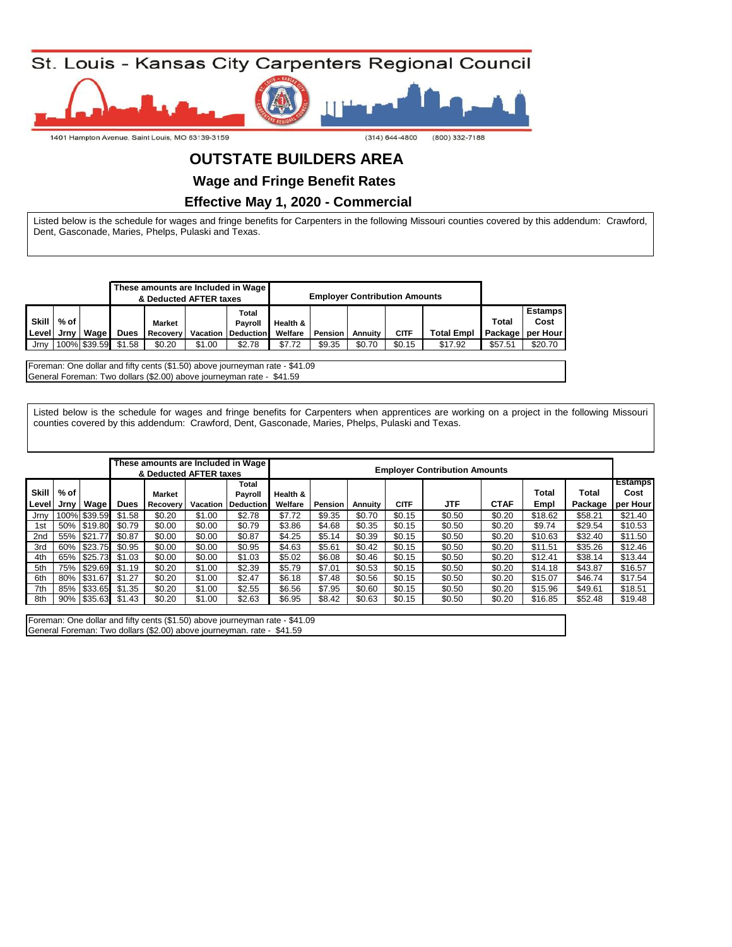

## **OUTSTATE BUILDERS AREA**

**Wage and Fringe Benefit Rates** 

 **Effective May 1, 2020 - Commercial**

Listed below is the schedule for wages and fringe benefits for Carpenters in the following Missouri counties covered by this addendum: Crawford, Dent, Gasconade, Maries, Phelps, Pulaski and Texas.

|              | These amounts are Included in Wage<br>& Deducted AFTER taxes |              |             |                 |        |                           |          | <b>Employer Contribution Amounts</b> |         |             |                   |         |                  |
|--------------|--------------------------------------------------------------|--------------|-------------|-----------------|--------|---------------------------|----------|--------------------------------------|---------|-------------|-------------------|---------|------------------|
|              |                                                              |              |             |                 |        | Total                     |          |                                      |         |             |                   |         | <b>Estamps</b>   |
| <b>Skill</b> | % of                                                         |              |             | Market          |        | <b>Pavroll</b>            | Health & |                                      |         |             |                   | Total   | Cost             |
| l Level I    | Jrnv                                                         | Wage I       | <b>Dues</b> | <b>Recovery</b> |        | <b>Vacation Deduction</b> | Welfare  | Pension                              | Annuity | <b>CITF</b> | <b>Total Empl</b> |         | Package per Hour |
| Jrnv         |                                                              | 100% \$39.59 | \$1.58      | \$0.20          | \$1.00 | \$2.78                    | \$7.72   | \$9.35                               | \$0.70  | \$0.15      | \$17.92           | \$57.51 | \$20.70          |

Foreman: One dollar and fifty cents (\$1.50) above journeyman rate - \$41.09 General Foreman: Two dollars (\$2.00) above journeyman rate - \$41.59

Listed below is the schedule for wages and fringe benefits for Carpenters when apprentices are working on a project in the following Missouri counties covered by this addendum: Crawford, Dent, Gasconade, Maries, Phelps, Pulaski and Texas.

|                       |                |              |             | & Deducted AFTER taxes    |          | These amounts are Included in Wage   | <b>Employer Contribution Amounts</b> |         |         |             |        |             |               |                  |                                    |
|-----------------------|----------------|--------------|-------------|---------------------------|----------|--------------------------------------|--------------------------------------|---------|---------|-------------|--------|-------------|---------------|------------------|------------------------------------|
| <b>Skill</b><br>Level | % of<br>Jrnv l | Wage         | <b>Dues</b> | <b>Market</b><br>Recovery | Vacation | Total<br>Payroll<br><b>Deduction</b> | Health &<br>Welfare                  | Pension | Annuity | <b>CITF</b> | JTF    | <b>CTAF</b> | Total<br>Empl | Total<br>Package | <b>Estamps</b><br>Cost<br>per Hour |
| Jrnv                  |                | 100% \$39.59 | \$1.58      | \$0.20                    | \$1.00   | \$2.78                               | \$7.72                               | \$9.35  | \$0.70  | \$0.15      | \$0.50 | \$0.20      | \$18.62       | \$58.21          | \$21.40                            |
| 1st                   |                | 50% \$19.80  | \$0.79      | \$0.00                    | \$0.00   | \$0.79                               | \$3.86                               | \$4.68  | \$0.35  | \$0.15      | \$0.50 | \$0.20      | \$9.74        | \$29.54          | \$10.53                            |
| 2 <sub>nd</sub>       |                | 55% \$21.77  | \$0.87      | \$0.00                    | \$0.00   | \$0.87                               | \$4.25                               | \$5.14  | \$0.39  | \$0.15      | \$0.50 | \$0.20      | \$10.63       | \$32.40          | \$11.50                            |
| 3rd                   |                | 60% \$23.75  | \$0.95      | \$0.00                    | \$0.00   | \$0.95                               | \$4.63                               | \$5.61  | \$0.42  | \$0.15      | \$0.50 | \$0.20      | \$11.51       | \$35.26          | \$12.46                            |
| 4th                   |                | 65% \$25.73  | \$1.03      | \$0.00                    | \$0.00   | \$1.03                               | \$5.02                               | \$6.08  | \$0.46  | \$0.15      | \$0.50 | \$0.20      | \$12.41       | \$38.14          | \$13.44                            |
| 5th                   |                | 75% \$29.69  | \$1.19      | \$0.20                    | \$1.00   | \$2.39                               | \$5.79                               | \$7.01  | \$0.53  | \$0.15      | \$0.50 | \$0.20      | \$14.18       | \$43.87          | \$16.57                            |
| 6th                   |                | 80% \$31.67  | \$1.27      | \$0.20                    | \$1.00   | \$2.47                               | \$6.18                               | \$7.48  | \$0.56  | \$0.15      | \$0.50 | \$0.20      | \$15.07       | \$46.74          | \$17.54                            |
| 7th                   |                | 85% \$33.65  | \$1.35      | \$0.20                    | \$1.00   | \$2.55                               | \$6.56                               | \$7.95  | \$0.60  | \$0.15      | \$0.50 | \$0.20      | \$15.96       | \$49.61          | \$18.51                            |
| 8th                   |                | 90% \$35.63  | \$1.43      | \$0.20                    | \$1.00   | \$2.63                               | \$6.95                               | \$8.42  | \$0.63  | \$0.15      | \$0.50 | \$0.20      | \$16.85       | \$52.48          | \$19.48                            |
|                       |                |              |             |                           |          |                                      |                                      |         |         |             |        |             |               |                  |                                    |

Foreman: One dollar and fifty cents (\$1.50) above journeyman rate - \$41.09 General Foreman: Two dollars (\$2.00) above journeyman. rate - \$41.59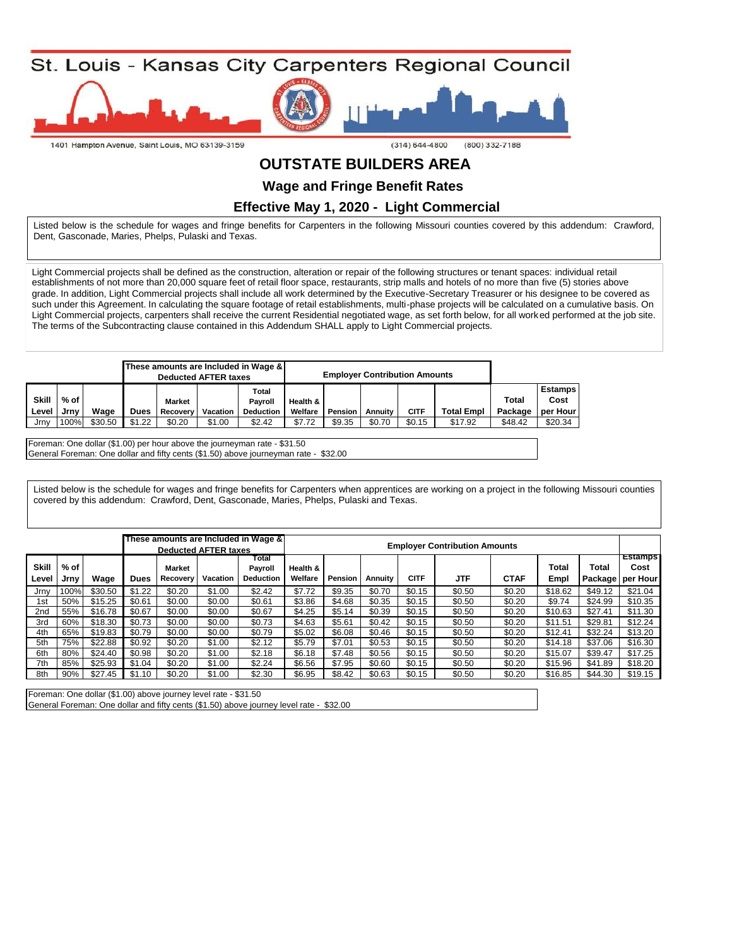

# **OUTSTATE BUILDERS AREA**

**Wage and Fringe Benefit Rates** 

 **Effective May 1, 2020 - Light Commercial**

Listed below is the schedule for wages and fringe benefits for Carpenters in the following Missouri counties covered by this addendum: Crawford, Dent, Gasconade, Maries, Phelps, Pulaski and Texas.

Light Commercial projects shall be defined as the construction, alteration or repair of the following structures or tenant spaces: individual retail establishments of not more than 20,000 square feet of retail floor space, restaurants, strip malls and hotels of no more than five (5) stories above grade. In addition, Light Commercial projects shall include all work determined by the Executive-Secretary Treasurer or his designee to be covered as such under this Agreement. In calculating the square footage of retail establishments, multi-phase projects will be calculated on a cumulative basis. On Light Commercial projects, carpenters shall receive the current Residential negotiated wage, as set forth below, for all worked performed at the job site. The terms of the Subcontracting clause contained in this Addendum SHALL apply to Light Commercial projects.

|              |        |         |             | <b>Deducted AFTER taxes</b> |          | These amounts are Included in Wage & |          | <b>Employer Contribution Amounts</b> |         |             |                   |         |                |
|--------------|--------|---------|-------------|-----------------------------|----------|--------------------------------------|----------|--------------------------------------|---------|-------------|-------------------|---------|----------------|
|              |        |         |             |                             |          | Total                                |          |                                      |         |             |                   |         | <b>Estamps</b> |
| <b>Skill</b> | $%$ of |         |             | <b>Market</b>               |          | Pavroll                              | Health & |                                      |         |             |                   | Total   | Cost           |
| Level        | Jrnv   | Wage    | <b>Dues</b> | Recovery                    | Vacation | <b>Deduction</b>                     | Welfare  | Pension                              | Annuity | <b>CITF</b> | <b>Total Empl</b> | Package | per Hour       |
| Jrnv         | 100%   | \$30.50 | \$1.22      | \$0.20                      | \$1.00   | \$2.42                               | \$7.72   | \$9.35                               | \$0.70  | \$0.15      | \$17.92           | \$48.42 | \$20.34        |

Foreman: One dollar (\$1.00) per hour above the journeyman rate - \$31.50 General Foreman: One dollar and fifty cents (\$1.50) above journeyman rate - \$32.00

Listed below is the schedule for wages and fringe benefits for Carpenters when apprentices are working on a project in the following Missouri counties covered by this addendum: Crawford, Dent, Gasconade, Maries, Phelps, Pulaski and Texas.

|       |      |         |        |               |                             | These amounts are Included in Wage & |          |                                      |         |             |            |             |         |         |          |
|-------|------|---------|--------|---------------|-----------------------------|--------------------------------------|----------|--------------------------------------|---------|-------------|------------|-------------|---------|---------|----------|
|       |      |         |        |               | <b>Deducted AFTER taxes</b> |                                      |          | <b>Employer Contribution Amounts</b> |         |             |            |             |         |         |          |
|       |      |         |        |               |                             | Total                                |          |                                      |         |             |            |             |         |         | Estamps  |
| Skill | % of |         |        | <b>Market</b> |                             | Payroll                              | Health & |                                      |         |             |            |             | Total   | Total   | Cost     |
| Level | Jrnv | Wage    | Dues   | Recovery      | <b>Vacation</b>             | <b>Deduction</b>                     | Welfare  | Pension                              | Annuity | <b>CITF</b> | <b>JTF</b> | <b>CTAF</b> | Empl    | Package | per Hour |
| Jrnv  | 100% | \$30.50 | \$1.22 | \$0.20        | \$1.00                      | \$2.42                               | \$7.72   | \$9.35                               | \$0.70  | \$0.15      | \$0.50     | \$0.20      | \$18.62 | \$49.12 | \$21.04  |
| 1st   | 50%  | \$15.25 | \$0.61 | \$0.00        | \$0.00                      | \$0.61                               | \$3.86   | \$4.68                               | \$0.35  | \$0.15      | \$0.50     | \$0.20      | \$9.74  | \$24.99 | \$10.35  |
| 2nd   | 55%  | \$16.78 | \$0.67 | \$0.00        | \$0.00                      | \$0.67                               | \$4.25   | \$5.14                               | \$0.39  | \$0.15      | \$0.50     | \$0.20      | \$10.63 | \$27.41 | \$11.30  |
| 3rd   | 60%  | \$18.30 | \$0.73 | \$0.00        | \$0.00                      | \$0.73                               | \$4.63   | \$5.61                               | \$0.42  | \$0.15      | \$0.50     | \$0.20      | \$11.51 | \$29.81 | \$12.24  |
| 4th   | 65%  | \$19.83 | \$0.79 | \$0.00        | \$0.00                      | \$0.79                               | \$5.02   | \$6.08                               | \$0.46  | \$0.15      | \$0.50     | \$0.20      | \$12.41 | \$32.24 | \$13.20  |
| 5th   | 75%  | \$22.88 | \$0.92 | \$0.20        | \$1.00                      | \$2.12                               | \$5.79   | \$7.01                               | \$0.53  | \$0.15      | \$0.50     | \$0.20      | \$14.18 | \$37.06 | \$16.30  |
| 6th   | 80%  | \$24.40 | \$0.98 | \$0.20        | \$1.00                      | \$2.18                               | \$6.18   | \$7.48                               | \$0.56  | \$0.15      | \$0.50     | \$0.20      | \$15.07 | \$39.47 | \$17.25  |
| 7th   | 85%  | \$25.93 | \$1.04 | \$0.20        | \$1.00                      | \$2.24                               | \$6.56   | \$7.95                               | \$0.60  | \$0.15      | \$0.50     | \$0.20      | \$15.96 | \$41.89 | \$18.20  |
| 8th   | 90%  | \$27.45 | \$1.10 | \$0.20        | \$1.00                      | \$2.30                               | \$6.95   | \$8.42                               | \$0.63  | \$0.15      | \$0.50     | \$0.20      | \$16.85 | \$44.30 | \$19.15  |

Foreman: One dollar (\$1.00) above journey level rate - \$31.50

General Foreman: One dollar and fifty cents (\$1.50) above journey level rate - \$32.00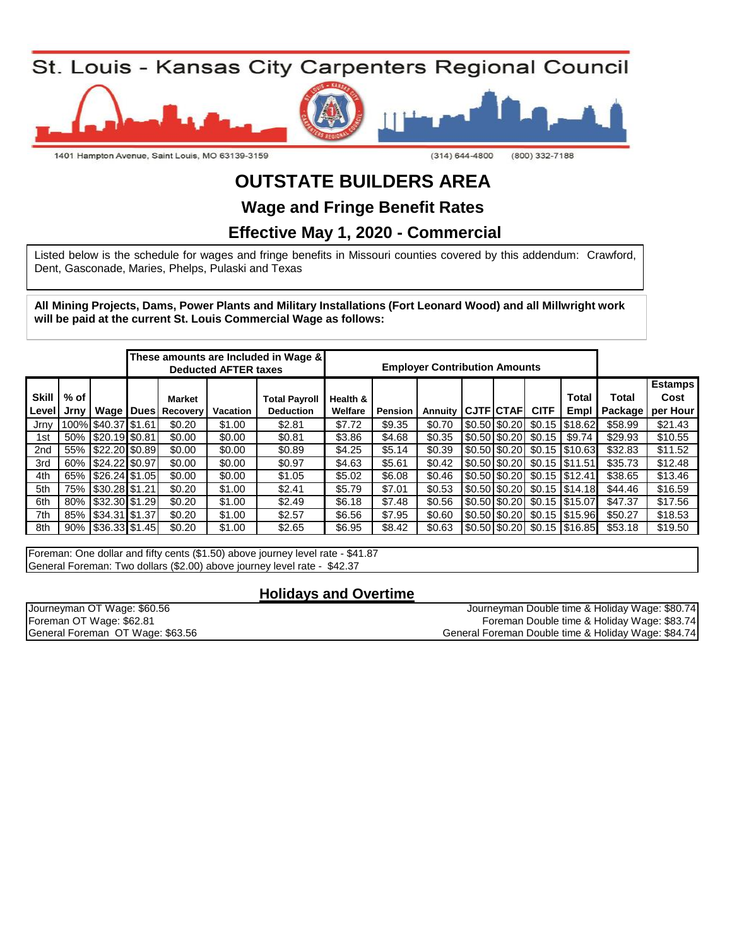St. Louis - Kansas City Carpenters Regional Council



1401 Hampton Avenue, Saint Louis, MO 63139-3159

 $(314) 644 - 4800$ (800) 332-7188

# **OUTSTATE BUILDERS AREA**

**Wage and Fringe Benefit Rates**

### **Effective May 1, 2020 - Commercial**

Listed below is the schedule for wages and fringe benefits in Missouri counties covered by this addendum: Crawford, Dent, Gasconade, Maries, Phelps, Pulaski and Texas

**All Mining Projects, Dams, Power Plants and Military Installations (Fort Leonard Wood) and all Millwright work will be paid at the current St. Louis Commercial Wage as follows:**

|                       |                |                        |  |                                                | These amounts are Included in Wage &<br><b>Deducted AFTER taxes</b> | <b>Employer Contribution Amounts</b>     |                     |                |         |  |                   |             |                                                              |                         |                                    |
|-----------------------|----------------|------------------------|--|------------------------------------------------|---------------------------------------------------------------------|------------------------------------------|---------------------|----------------|---------|--|-------------------|-------------|--------------------------------------------------------------|-------------------------|------------------------------------|
| <b>Skill</b><br>Level | % of l<br>Jrnv |                        |  | <b>Market</b><br><b>Wage   Dues   Recovery</b> | <b>Vacation</b>                                                     | <b>Total Payroll</b><br><b>Deduction</b> | Health &<br>Welfare | <b>Pension</b> | Annuity |  | <b>CJTF</b> CTAFI | <b>CITF</b> | Total<br>Empl                                                | <b>Total</b><br>Package | <b>Estamps</b><br>Cost<br>per Hour |
| Jrny                  |                | 100% \$40.37 \$1.61    |  | \$0.20                                         | \$1.00                                                              | \$2.81                                   | \$7.72              | \$9.35         | \$0.70  |  |                   |             | $\left  0.50 \right  0.20$ \$0.15 \\$18.62                   | \$58.99                 | \$21.43                            |
| 1st                   |                | 50% \$20.19 \$0.81     |  | \$0.00                                         | \$0.00                                                              | \$0.81                                   | \$3.86              | \$4.68         | \$0.35  |  |                   |             | $\left  0.50 \right  0.20$ \$0.15 \$9.74                     | \$29.93                 | \$10.55                            |
| 2nd                   |                | 55% \$22.20 \$0.89     |  | \$0.00                                         | \$0.00                                                              | \$0.89                                   | \$4.25              | \$5.14         | \$0.39  |  |                   |             | $\left  0.50 \right  0.20$ \$0.15 \\$10.63                   | \$32.83                 | \$11.52                            |
| 3rd                   |                | 60%   \$24.22 \$0.97   |  | \$0.00                                         | \$0.00                                                              | \$0.97                                   | \$4.63              | \$5.61         | \$0.42  |  |                   |             | $\sqrt{$0.50 \times 20}$ \$0.15 \\$11.51                     | \$35.73                 | \$12.48                            |
| 4th                   |                | 65% \$26.24 \$1.05     |  | \$0.00                                         | \$0.00                                                              | \$1.05                                   | \$5.02              | \$6.08         | \$0.46  |  |                   |             | $\left  0.50 \right  0.20$ \cdots $\left  0.15 \right  0.41$ | \$38.65                 | \$13.46                            |
| 5th                   |                | 75% \\$30.28 \\$1.21   |  | \$0.20                                         | \$1.00                                                              | \$2.41                                   | \$5.79              | \$7.01         | \$0.53  |  |                   |             | S0.50 S0.20 \$0.15 S14.18                                    | \$44.46                 | \$16.59                            |
| 6th                   |                | 80%   \$32.30   \$1.29 |  | \$0.20                                         | \$1.00                                                              | \$2.49                                   | \$6.18              | \$7.48         | \$0.56  |  |                   |             | $\left  0.50 \right  0.20$ \$0.15 \\$15.07                   | \$47.37                 | \$17.56                            |
| 7th                   |                | 85%   \$34.31   \$1.37 |  | \$0.20                                         | \$1.00                                                              | \$2.57                                   | \$6.56              | \$7.95         | \$0.60  |  |                   |             | $\left  0.50 \right  0.20$ \$0.15 \\$15.96                   | \$50.27                 | \$18.53                            |
| 8th                   |                | 90%   \$36.33 \$1.45   |  | \$0.20                                         | \$1.00                                                              | \$2.65                                   | \$6.95              | \$8.42         | \$0.63  |  |                   |             | $\left  0.50 \right  0.20$ \$0.15 \\$16.85                   | \$53.18                 | \$19.50                            |

Foreman: One dollar and fifty cents (\$1.50) above journey level rate - \$41.87 General Foreman: Two dollars (\$2.00) above journey level rate - \$42.37

#### **Holidays and Overtime**

| Journeyman OT Wage: \$60.56      | Journeyman Double time & Holiday Wage: \$80.74      |
|----------------------------------|-----------------------------------------------------|
| Foreman OT Wage: \$62.81         | Foreman Double time & Holiday Wage: \$83.74         |
| General Foreman OT Wage: \$63.56 | General Foreman Double time & Holiday Wage: \$84.74 |